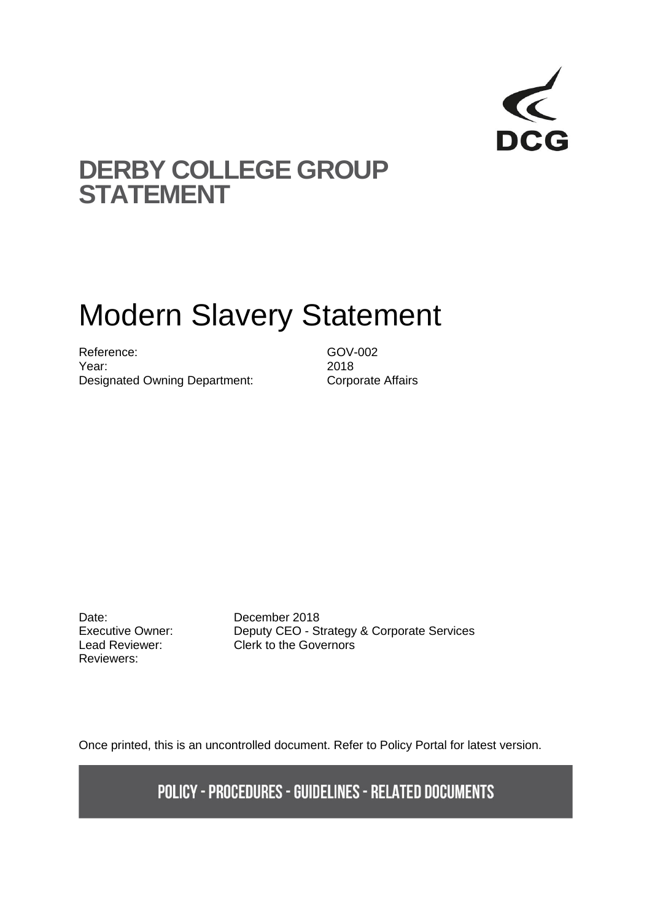

# **DERBY COLLEGE GROUP STATEMENT**

# Modern Slavery Statement

Reference: GOV-002 Year: 2018 Designated Owning Department: Corporate Affairs

Date: December 2018 Reviewers:

Executive Owner: Deputy CEO - Strategy & Corporate Services Lead Reviewer: Clerk to the Governors

Once printed, this is an uncontrolled document. Refer to Policy Portal for latest version.

**POLICY - PROCEDURES - GUIDELINES - RELATED DOCUMENTS**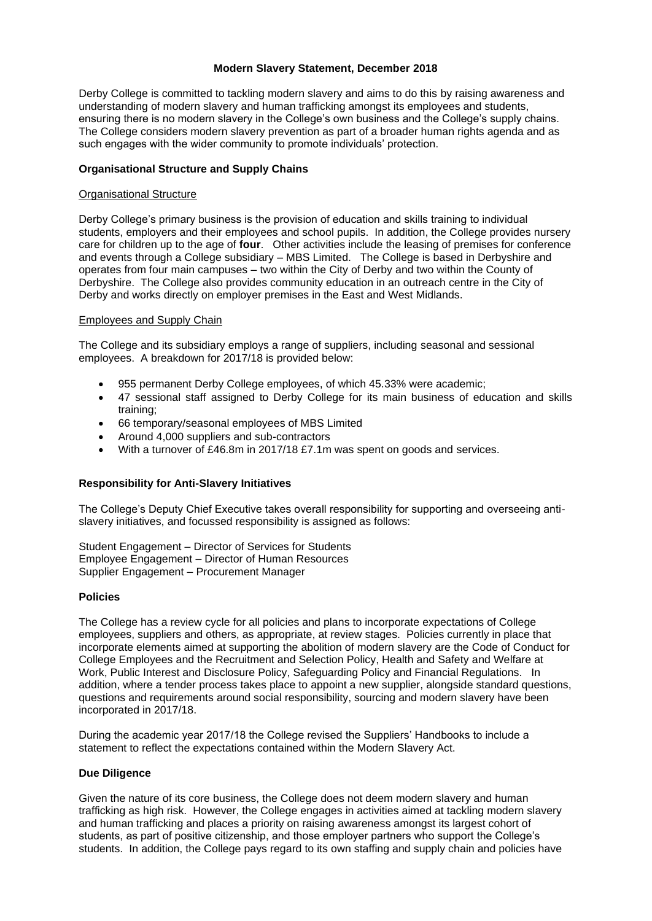## **Modern Slavery Statement, December 2018**

Derby College is committed to tackling modern slavery and aims to do this by raising awareness and understanding of modern slavery and human trafficking amongst its employees and students, ensuring there is no modern slavery in the College's own business and the College's supply chains. The College considers modern slavery prevention as part of a broader human rights agenda and as such engages with the wider community to promote individuals' protection.

#### **Organisational Structure and Supply Chains**

#### Organisational Structure

Derby College's primary business is the provision of education and skills training to individual students, employers and their employees and school pupils. In addition, the College provides nursery care for children up to the age of **four**. Other activities include the leasing of premises for conference and events through a College subsidiary – MBS Limited. The College is based in Derbyshire and operates from four main campuses – two within the City of Derby and two within the County of Derbyshire. The College also provides community education in an outreach centre in the City of Derby and works directly on employer premises in the East and West Midlands.

## Employees and Supply Chain

The College and its subsidiary employs a range of suppliers, including seasonal and sessional employees. A breakdown for 2017/18 is provided below:

- 955 permanent Derby College employees, of which 45.33% were academic;
- 47 sessional staff assigned to Derby College for its main business of education and skills training;
- 66 temporary/seasonal employees of MBS Limited
- Around 4,000 suppliers and sub-contractors
- With a turnover of £46.8m in 2017/18 £7.1m was spent on goods and services.

# **Responsibility for Anti-Slavery Initiatives**

The College's Deputy Chief Executive takes overall responsibility for supporting and overseeing antislavery initiatives, and focussed responsibility is assigned as follows:

Student Engagement – Director of Services for Students Employee Engagement – Director of Human Resources Supplier Engagement – Procurement Manager

## **Policies**

The College has a review cycle for all policies and plans to incorporate expectations of College employees, suppliers and others, as appropriate, at review stages. Policies currently in place that incorporate elements aimed at supporting the abolition of modern slavery are the Code of Conduct for College Employees and the Recruitment and Selection Policy, Health and Safety and Welfare at Work, Public Interest and Disclosure Policy, Safeguarding Policy and Financial Regulations. In addition, where a tender process takes place to appoint a new supplier, alongside standard questions, questions and requirements around social responsibility, sourcing and modern slavery have been incorporated in 2017/18.

During the academic year 2017/18 the College revised the Suppliers' Handbooks to include a statement to reflect the expectations contained within the Modern Slavery Act.

#### **Due Diligence**

Given the nature of its core business, the College does not deem modern slavery and human trafficking as high risk. However, the College engages in activities aimed at tackling modern slavery and human trafficking and places a priority on raising awareness amongst its largest cohort of students, as part of positive citizenship, and those employer partners who support the College's students. In addition, the College pays regard to its own staffing and supply chain and policies have